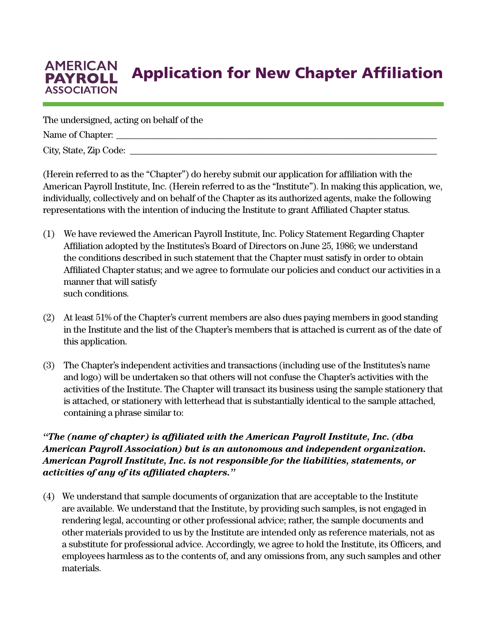## **AMERICAN** Application for New Chapter Affiliation **PAYROLL ASSOCIATION**

The undersigned, acting on behalf of the

Name of Chapter: \_\_\_\_\_\_\_\_\_\_\_\_\_\_\_\_\_\_\_\_\_\_\_\_\_\_\_\_\_\_\_\_\_\_\_\_\_\_\_\_\_\_\_\_\_\_\_\_\_\_\_\_\_\_\_\_\_\_\_\_\_\_\_\_\_\_\_\_\_\_

City, State, Zip Code: \_\_\_\_\_\_\_\_\_\_\_\_\_\_\_\_\_\_\_\_\_\_\_\_\_\_\_\_\_\_\_\_\_\_\_\_\_\_\_\_\_\_\_\_\_\_\_\_\_\_\_\_\_\_\_\_\_\_\_\_\_\_\_\_\_\_\_

(Herein referred to as the "Chapter") do hereby submit our application for affiliation with the American Payroll Institute, Inc. (Herein referred to as the "Institute"). In making this application, we, individually, collectively and on behalf of the Chapter as its authorized agents, make the following representations with the intention of inducing the Institute to grant Affiliated Chapter status.

- (1) We have reviewed the American Payroll Institute, Inc. Policy Statement Regarding Chapter Affiliation adopted by the Institutes's Board of Directors on June 25, 1986; we understand the conditions described in such statement that the Chapter must satisfy in order to obtain Affiliated Chapter status; and we agree to formulate our policies and conduct our activities in a manner that will satisfy such conditions.
- (2) At least 51% of the Chapter's current members are also dues paying members in good standing in the Institute and the list of the Chapter's members that is attached is current as of the date of this application.
- (3) The Chapter's independent activities and transactions (including use of the Institutes's name and logo) will be undertaken so that others will not confuse the Chapter's activities with the activities of the Institute. The Chapter will transact its business using the sample stationery that is attached, or stationery with letterhead that is substantially identical to the sample attached, containing a phrase similar to:

## *"The (name of chapter) is affiliated with the American Payroll Institute, Inc. (dba American Payroll Association) but is an autonomous and independent organization. American Payroll Institute, Inc. is not responsible for the liabilities, statements, or activities of any of its affiliated chapters."*

(4) We understand that sample documents of organization that are acceptable to the Institute are available. We understand that the Institute, by providing such samples, is not engaged in rendering legal, accounting or other professional advice; rather, the sample documents and other materials provided to us by the Institute are intended only as reference materials, not as a substitute for professional advice. Accordingly, we agree to hold the Institute, its Officers, and employees harmless as to the contents of, and any omissions from, any such samples and other materials.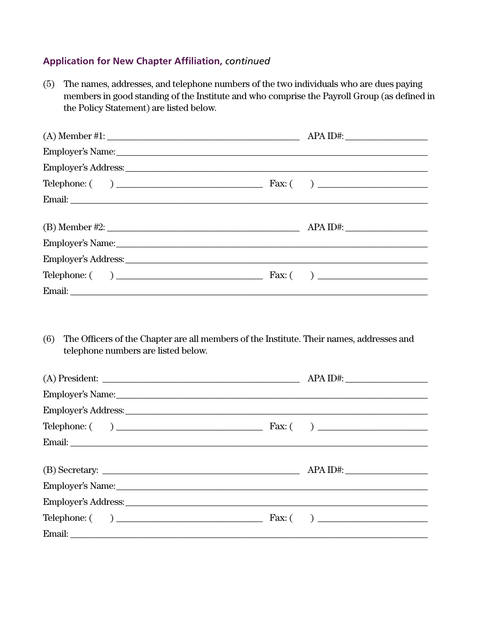## **Application for New Chapter Affiliation, continued**

| The names, addresses, and telephone numbers of the two individuals who are dues paying<br>(5)<br>members in good standing of the Institute and who comprise the Payroll Group (as defined in<br>the Policy Statement) are listed below. |             |
|-----------------------------------------------------------------------------------------------------------------------------------------------------------------------------------------------------------------------------------------|-------------|
| $(A)$ Member #1:                                                                                                                                                                                                                        | $APA ID#$ : |
|                                                                                                                                                                                                                                         |             |
|                                                                                                                                                                                                                                         |             |
|                                                                                                                                                                                                                                         |             |
|                                                                                                                                                                                                                                         |             |
| (B) Member #2: $\qquad \qquad \qquad \text{APA ID#:}$                                                                                                                                                                                   |             |
|                                                                                                                                                                                                                                         |             |
|                                                                                                                                                                                                                                         |             |
|                                                                                                                                                                                                                                         |             |
|                                                                                                                                                                                                                                         |             |
| The Officers of the Chapter are all members of the Institute. Their names, addresses and<br>(6)<br>telephone numbers are listed below.                                                                                                  |             |
| Employer's Name: Name: Name: Name: Name: Name: Name: Name: Name: Name: Name: Name: Name: Name: Name: Name: Name: Name: Name: Name: Name: Name: Name: Name: Name: Name: Name: Name: Name: Name: Name: Name: Name: Name: Name: N          |             |
| Employer's Address: Universe of the Second Second Second Second Second Second Second Second Second Second Second Second Second Second Second Second Second Second Second Second Second Second Second Second Second Second Seco          |             |
|                                                                                                                                                                                                                                         |             |
|                                                                                                                                                                                                                                         |             |
|                                                                                                                                                                                                                                         |             |
|                                                                                                                                                                                                                                         | APA ID#:    |
| Employer's Name: Name: Name: Name: Name: Name: Name: Name: Name: Name: Name: Name: Name: Name: Name: Name: Name: Name: Name: Name: Name: Name: Name: Name: Name: Name: Name: Name: Name: Name: Name: Name: Name: Name: Name: N          |             |
|                                                                                                                                                                                                                                         |             |
|                                                                                                                                                                                                                                         |             |
|                                                                                                                                                                                                                                         |             |